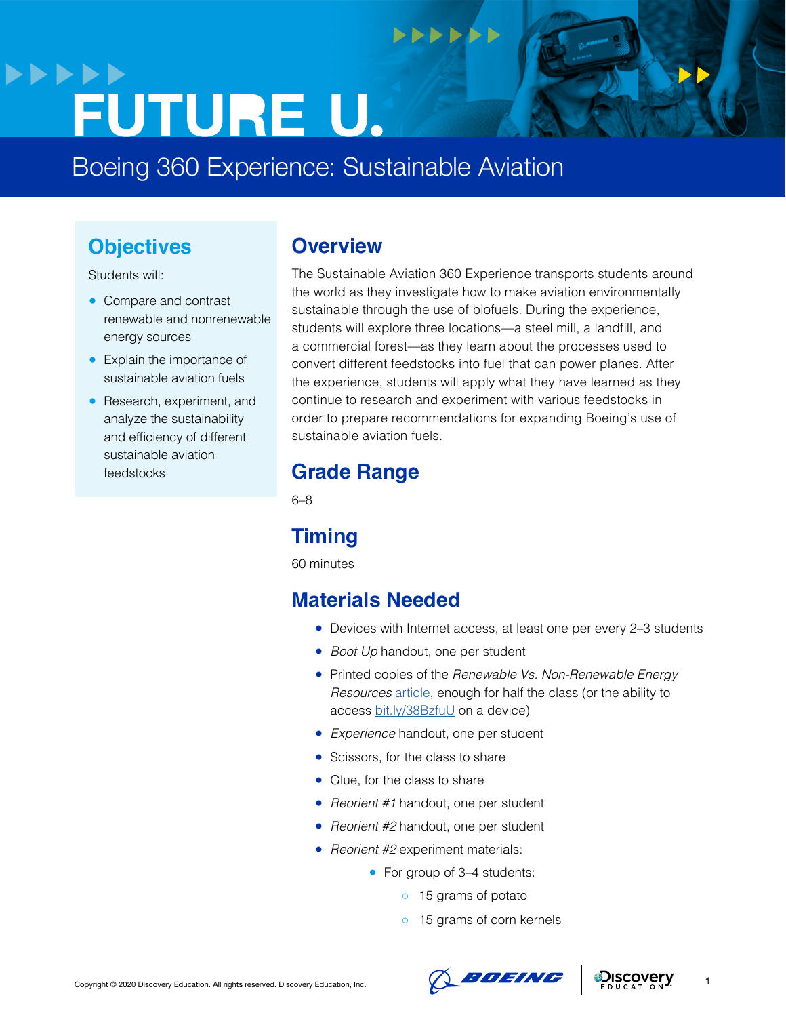# **>>>>>> FUTURE U.**

Boeing 360 Experience: Sustainable Aviation

## **Objectives**

Students will:

- Compare and contrast renewable and nonrenewable energy sources
- Explain the importance of sustainable aviation fuels
- Research, experiment, and analyze the sustainability and efficiency of different sustainable aviation feedstocks

### **Overview**

The Sustainable Aviation 360 Experience transports students around the world as they investigate how to make aviation environmentally sustainable through the use of biofuels. During the experience, students will explore three locations—a steel mill, a landfill, and a commercial forest—as they learn about the processes used to convert different feedstocks into fuel that can power planes. After the experience, students will apply what they have learned as they continue to research and experiment with various feedstocks in order to prepare recommendations for expanding Boeing's use of sustainable aviation fuels.

 $+$  $+$  $+$  $+$ 

# **Grade Range**

6–8

# **Timing**

60 minutes

# **Materials Needed**

- Devices with Internet access, at least one per every 2-3 students
- *Boot Up* handout, one per student
- Printed copies of the *Renewable Vs. Non-Renewable Energy Resources* [article](https://sciencing.com/renewable-vs-nonrenewable-energy-resources-12071170.html), enough for half the class (or the ability to access [bit.ly/38BzfuU](http://bit.ly/38BzfuU) on a device)
- *Experience* handout, one per student
- Scissors, for the class to share
- Glue, for the class to share
- *Reorient #1* handout, one per student
- *Reorient #2* handout, one per student
- *Reorient #2* experiment materials:
	- For group of 3-4 students:
		- 15 grams of potato
		- 15 grams of corn kernels





**1**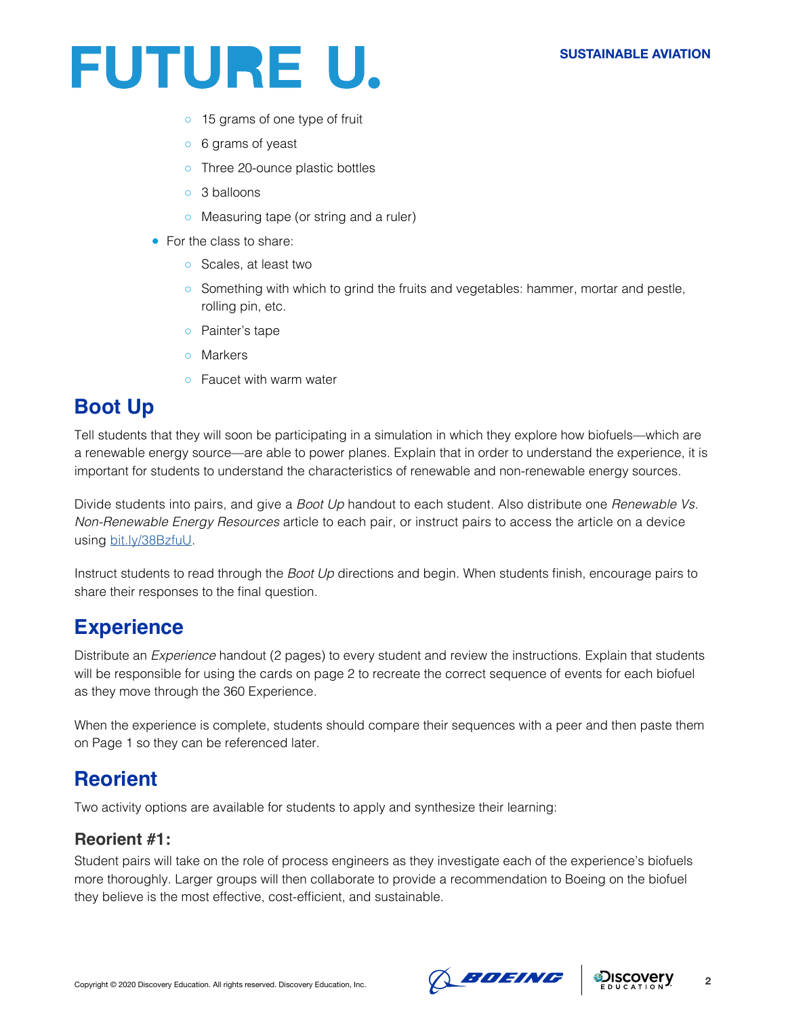#### **SUSTAINABLE AVIATION**



- o 15 grams of one type of fruit
- 6 grams of yeast
- o Three 20-ounce plastic bottles
- o 3 balloons
- Measuring tape (or string and a ruler)
- For the class to share:
	- Scales, at least two
	- Something with which to grind the fruits and vegetables: hammer, mortar and pestle, rolling pin, etc.
	- Painter's tape
	- Markers
	- Faucet with warm water

# **Boot Up**

Tell students that they will soon be participating in a simulation in which they explore how biofuels—which are a renewable energy source—are able to power planes. Explain that in order to understand the experience, it is important for students to understand the characteristics of renewable and non-renewable energy sources.

Divide students into pairs, and give a *Boot Up* handout to each student. Also distribute one *Renewable Vs. Non-Renewable Energy Resources* article to each pair, or instruct pairs to access the article on a device using [bit.ly/38BzfuU](http://bit.ly/38BzfuU).

Instruct students to read through the *Boot Up* directions and begin. When students finish, encourage pairs to share their responses to the final question.

## **Experience**

Distribute an *Experience* handout (2 pages) to every student and review the instructions. Explain that students will be responsible for using the cards on page 2 to recreate the correct sequence of events for each biofuel as they move through the 360 Experience.

When the experience is complete, students should compare their sequences with a peer and then paste them on Page 1 so they can be referenced later.

## **Reorient**

Two activity options are available for students to apply and synthesize their learning:

#### **Reorient #1:**

Student pairs will take on the role of process engineers as they investigate each of the experience's biofuels more thoroughly. Larger groups will then collaborate to provide a recommendation to Boeing on the biofuel they believe is the most effective, cost-efficient, and sustainable.



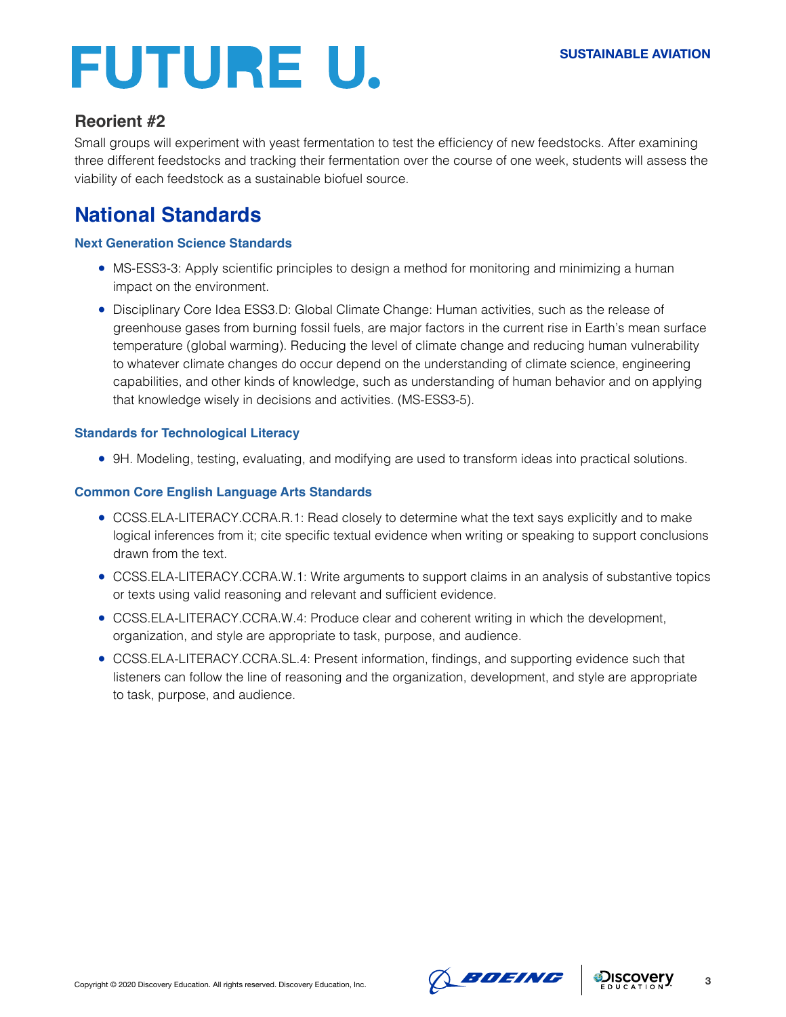# **FUTURE U.**

### **Reorient #2**

Small groups will experiment with yeast fermentation to test the efficiency of new feedstocks. After examining three different feedstocks and tracking their fermentation over the course of one week, students will assess the viability of each feedstock as a sustainable biofuel source.

# **National Standards**

#### **[Next Generation Science Standards](https://www.nextgenscience.org/)**

- MS-ESS3-3: Apply scientific principles to design a method for monitoring and minimizing a human impact on the environment.
- Disciplinary Core Idea ESS3.D: Global Climate Change: Human activities, such as the release of greenhouse gases from burning fossil fuels, are major factors in the current rise in Earth's mean surface temperature (global warming). Reducing the level of climate change and reducing human vulnerability to whatever climate changes do occur depend on the understanding of climate science, engineering capabilities, and other kinds of knowledge, such as understanding of human behavior and on applying that knowledge wisely in decisions and activities. (MS-ESS3-5).

#### **Standards for Technological Literacy**

● 9H. Modeling, testing, evaluating, and modifying are used to transform ideas into practical solutions.

#### **[Common Core English Language Arts Standards](http://www.corestandards.org/ELA-Literacy/)**

- CCSS.ELA-LITERACY.CCRA.R.1: Read closely to determine what the text says explicitly and to make logical inferences from it; cite specific textual evidence when writing or speaking to support conclusions drawn from the text.
- CCSS.ELA-LITERACY.CCRA.W.1: Write arguments to support claims in an analysis of substantive topics or texts using valid reasoning and relevant and sufficient evidence.
- CCSS.ELA-LITERACY.CCRA.W.4: Produce clear and coherent writing in which the development, organization, and style are appropriate to task, purpose, and audience.
- CCSS.ELA-LITERACY.CCRA.SL.4: Present information, findings, and supporting evidence such that listeners can follow the line of reasoning and the organization, development, and style are appropriate to task, purpose, and audience.



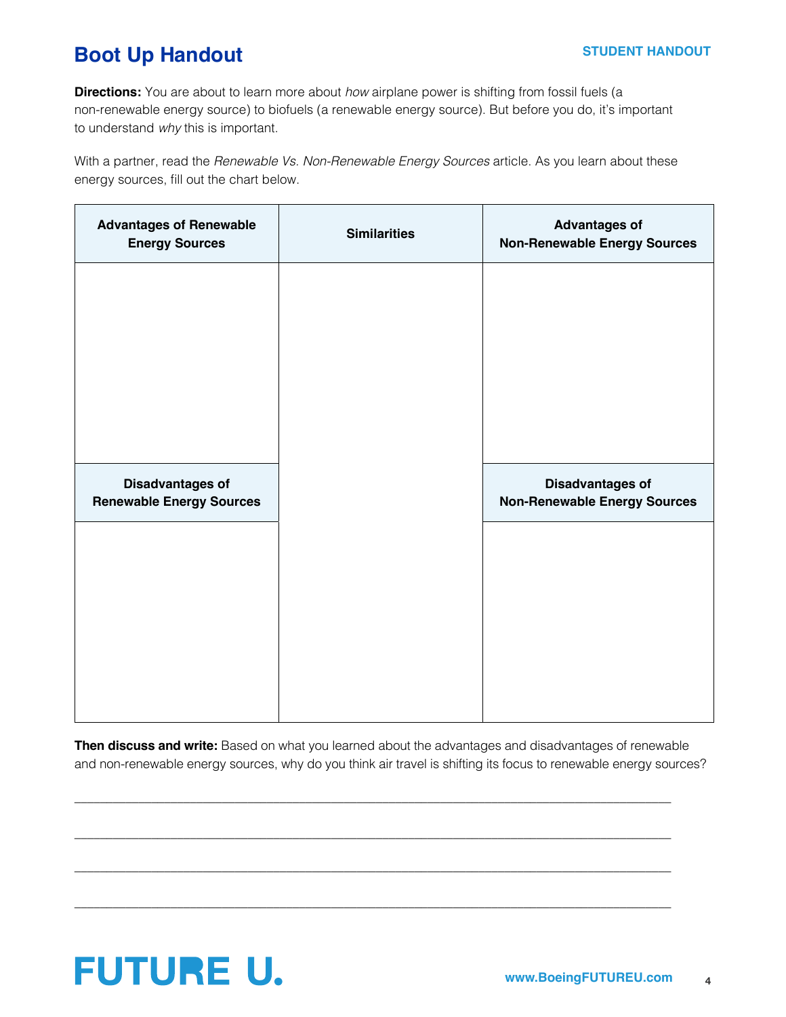#### **STUDENT HANDOUT**

# **Boot Up Handout**

**Directions:** You are about to learn more about *how* airplane power is shifting from fossil fuels (a non-renewable energy source) to biofuels (a renewable energy source). But before you do, it's important to understand *why* this is important.

With a partner, read the *Renewable Vs. Non-Renewable Energy Sources* article. As you learn about these energy sources, fill out the chart below.

| <b>Advantages of Renewable</b><br><b>Energy Sources</b>    | <b>Similarities</b> | <b>Advantages of</b><br><b>Non-Renewable Energy Sources</b>    |
|------------------------------------------------------------|---------------------|----------------------------------------------------------------|
|                                                            |                     |                                                                |
|                                                            |                     |                                                                |
|                                                            |                     |                                                                |
|                                                            |                     |                                                                |
| <b>Disadvantages of</b><br><b>Renewable Energy Sources</b> |                     | <b>Disadvantages of</b><br><b>Non-Renewable Energy Sources</b> |
|                                                            |                     |                                                                |
|                                                            |                     |                                                                |
|                                                            |                     |                                                                |
|                                                            |                     |                                                                |

**Then discuss and write:** Based on what you learned about the advantages and disadvantages of renewable and non-renewable energy sources, why do you think air travel is shifting its focus to renewable energy sources?

\_\_\_\_\_\_\_\_\_\_\_\_\_\_\_\_\_\_\_\_\_\_\_\_\_\_\_\_\_\_\_\_\_\_\_\_\_\_\_\_\_\_\_\_\_\_\_\_\_\_\_\_\_\_\_\_\_\_\_\_\_\_\_\_\_\_\_\_\_\_\_\_\_\_\_\_\_\_\_\_\_\_\_\_\_\_\_\_\_\_\_\_\_

 $\_$  ,  $\_$  ,  $\_$  ,  $\_$  ,  $\_$  ,  $\_$  ,  $\_$  ,  $\_$  ,  $\_$  ,  $\_$  ,  $\_$  ,  $\_$  ,  $\_$  ,  $\_$  ,  $\_$  ,  $\_$  ,  $\_$  ,  $\_$  ,  $\_$  ,  $\_$  ,  $\_$  ,  $\_$  ,  $\_$  ,  $\_$  ,  $\_$  ,  $\_$  ,  $\_$  ,  $\_$  ,  $\_$  ,  $\_$  ,  $\_$  ,  $\_$  ,  $\_$  ,  $\_$  ,  $\_$  ,  $\_$  ,  $\_$  ,

\_\_\_\_\_\_\_\_\_\_\_\_\_\_\_\_\_\_\_\_\_\_\_\_\_\_\_\_\_\_\_\_\_\_\_\_\_\_\_\_\_\_\_\_\_\_\_\_\_\_\_\_\_\_\_\_\_\_\_\_\_\_\_\_\_\_\_\_\_\_\_\_\_\_\_\_\_\_\_\_\_\_\_\_\_\_\_\_\_\_\_\_\_

 $\_$  ,  $\_$  ,  $\_$  ,  $\_$  ,  $\_$  ,  $\_$  ,  $\_$  ,  $\_$  ,  $\_$  ,  $\_$  ,  $\_$  ,  $\_$  ,  $\_$  ,  $\_$  ,  $\_$  ,  $\_$  ,  $\_$  ,  $\_$  ,  $\_$  ,  $\_$  ,  $\_$  ,  $\_$  ,  $\_$  ,  $\_$  ,  $\_$  ,  $\_$  ,  $\_$  ,  $\_$  ,  $\_$  ,  $\_$  ,  $\_$  ,  $\_$  ,  $\_$  ,  $\_$  ,  $\_$  ,  $\_$  ,  $\_$  ,

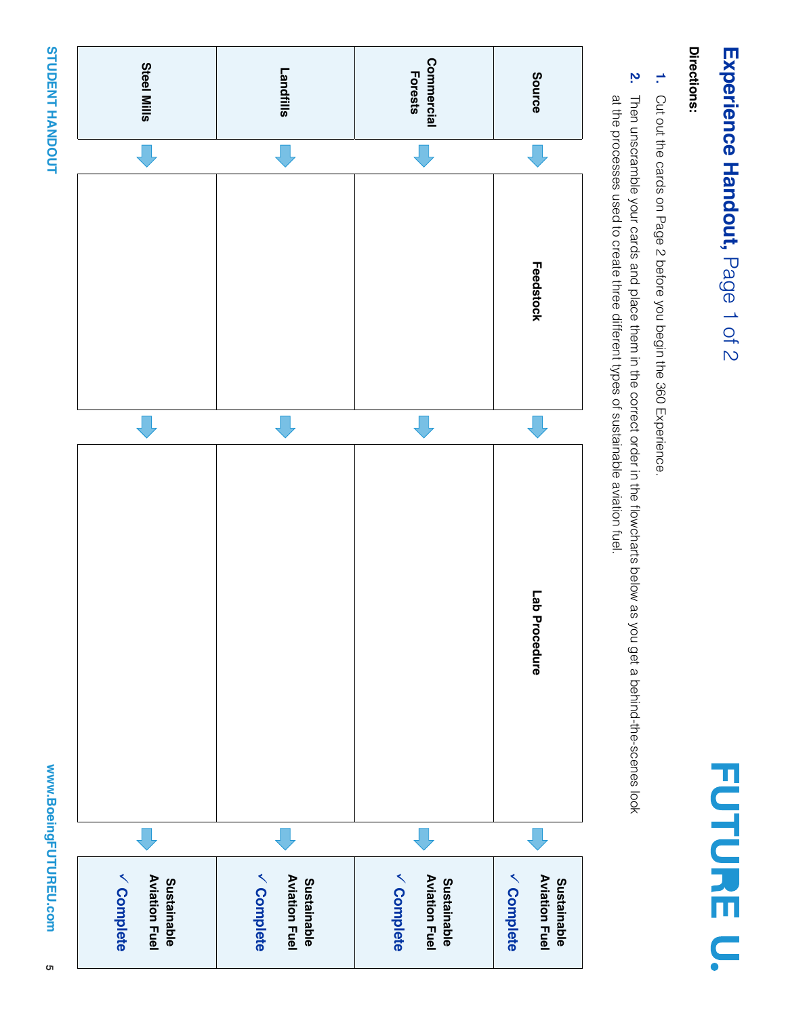# www.BoeingFUTUREU.com **www.BoeingFUTUREU.com**

# **STUDENT HANDOUT STUDENT HANDOUT**



# Experience Handout, Page 1 of 2 **Experience Handout,** Page 1 of 2

**FUTURE U.** 

# Directions: **Directions:**

- **1.** Cut out the cards on Page 2 before you begin the 360 Experience Cut out the cards on Page 2 before you begin the 360 Experience.
- **2.** at the processes used to create three different types of sustainable aviation fuel. Then unscramble your cards and place them in the correct order in the flowcharts below as you get a behind-the-scenes look Then unscramble your cards and place them in the correct order in the flowcharts below as you get a behind-the-scenes look at the processes used to create three different types of sustainable aviation fuel.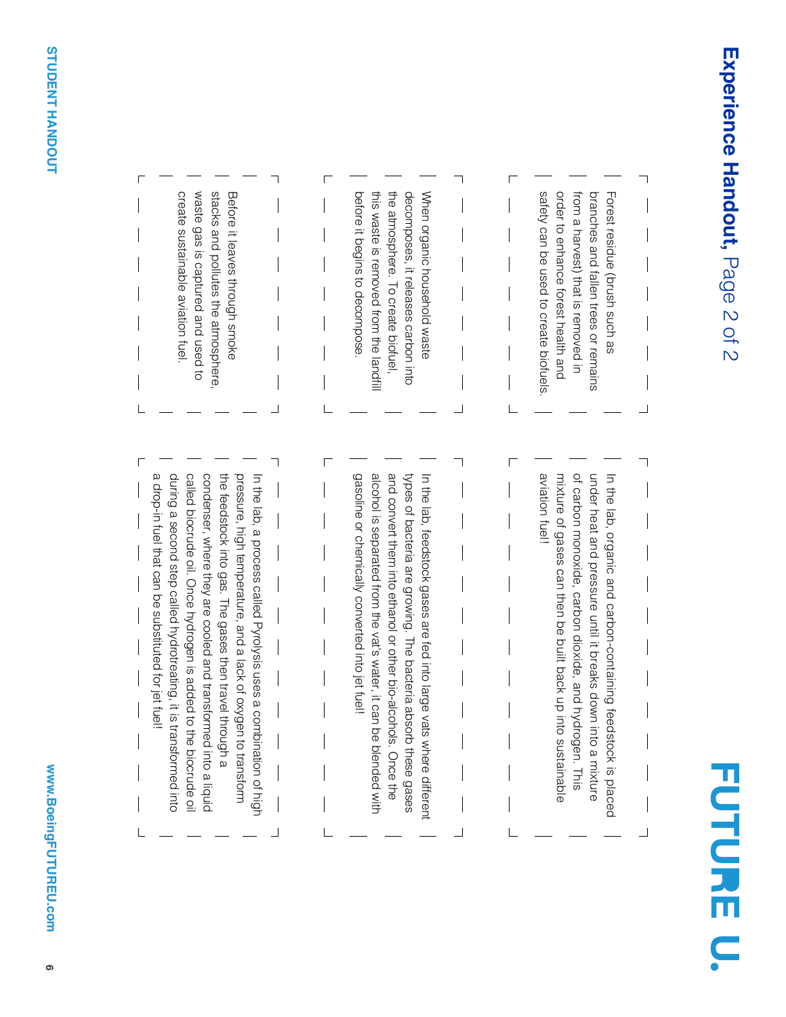

| waste gas is captured and used to<br>stacks and pollutes the atmosphere<br>create sustainable aviation fuel<br>Before it leaves through smoke                                                                                                                                                                                                                                                                                                                    | before it begins to decompose<br>the attracedure. To oute the attracedure.<br>When organic household waste<br>this waste is removed from the landfi<br>decomposes, it releases carbon into                                                                                                                                        | safety can be used to create biofuels.<br>from a harvest) that is removed in<br>order to enhance forest health and<br>branches and fallen trees or remains<br>Forest residue (brush such as                                                                                |
|------------------------------------------------------------------------------------------------------------------------------------------------------------------------------------------------------------------------------------------------------------------------------------------------------------------------------------------------------------------------------------------------------------------------------------------------------------------|-----------------------------------------------------------------------------------------------------------------------------------------------------------------------------------------------------------------------------------------------------------------------------------------------------------------------------------|----------------------------------------------------------------------------------------------------------------------------------------------------------------------------------------------------------------------------------------------------------------------------|
| during a second step called hydrotreating, it is<br>a drop-in tuel that can be substituted for jet tue<br>called biocrude oil. Once hydrogen is added to the biocrude oil<br>condenser, where they are cooled and transformed into a liquid<br>the feedstock into gas. The gases then travel through a<br>pressure, high temperature, and a lack of oxygen to transform<br>In the lab, a process called Pyrolysis uses a combination of high<br>transformed into | gasoline or chemically converted into jet tuel!<br>and convert them into ethanol or other bio-alcohols. Once the<br>alcohol is separated from the vat's water, it can<br>types of bacteria are growing. The bacteria absorb these gases<br>In the lab, feedstock gases are fed into large vats where different<br>be blended with | aviation fuel!<br>of carbon monoxide, carbon dioxide, and hydrogen. This<br>under heat and pressure until it breaks down<br>mixture of gases can then be built back up into sustainable<br>In the lab, organic and carbon-containing feedstock is placed<br>into a mixture |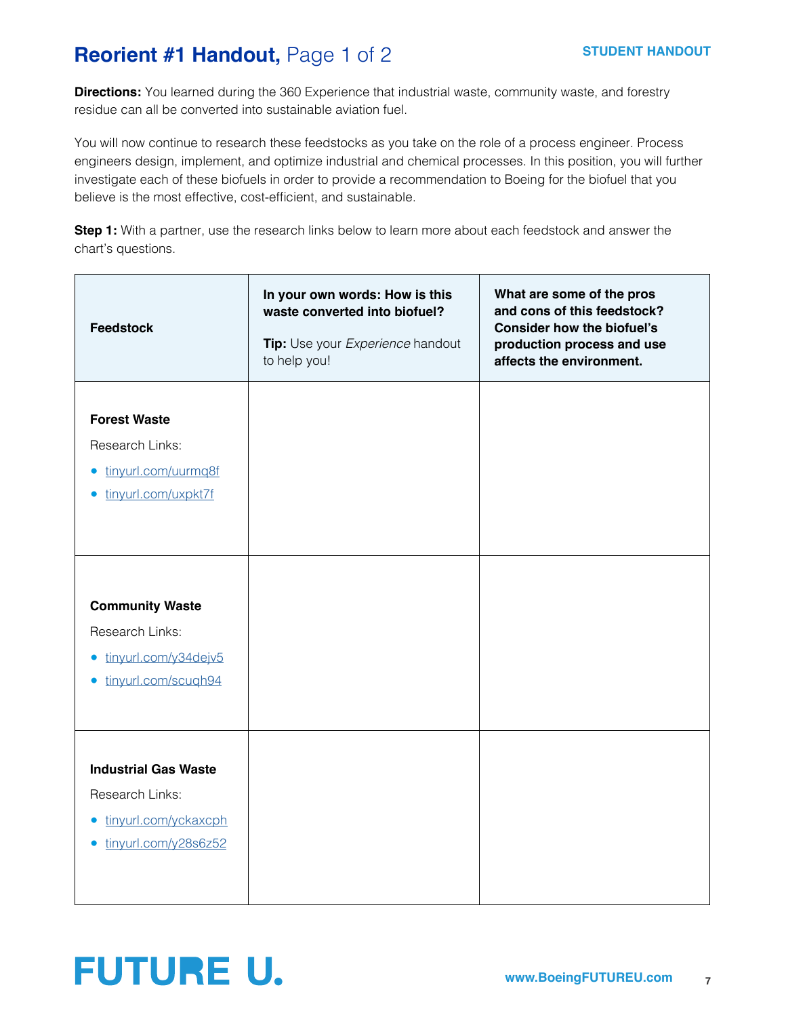# **Reorient #1 Handout, Page 1 of 2**

**Directions:** You learned during the 360 Experience that industrial waste, community waste, and forestry residue can all be converted into sustainable aviation fuel.

You will now continue to research these feedstocks as you take on the role of a process engineer. Process engineers design, implement, and optimize industrial and chemical processes. In this position, you will further investigate each of these biofuels in order to provide a recommendation to Boeing for the biofuel that you believe is the most effective, cost-efficient, and sustainable.

**Step 1:** With a partner, use the research links below to learn more about each feedstock and answer the chart's questions.

| <b>Feedstock</b>                                                                                                   | In your own words: How is this<br>waste converted into biofuel?<br>Tip: Use your Experience handout<br>to help you! | What are some of the pros<br>and cons of this feedstock?<br><b>Consider how the biofuel's</b><br>production process and use<br>affects the environment. |
|--------------------------------------------------------------------------------------------------------------------|---------------------------------------------------------------------------------------------------------------------|---------------------------------------------------------------------------------------------------------------------------------------------------------|
| <b>Forest Waste</b><br>Research Links:<br>tinyurl.com/uurmq8f<br>$\bullet$<br>tinyurl.com/uxpkt7f<br>$\bullet$     |                                                                                                                     |                                                                                                                                                         |
| <b>Community Waste</b><br>Research Links:<br>tinyurl.com/y34dejv5<br>$\bullet$<br>tinyurl.com/scugh94<br>$\bullet$ |                                                                                                                     |                                                                                                                                                         |
| <b>Industrial Gas Waste</b><br>Research Links:<br>tinyurl.com/yckaxcph<br>$\bullet$<br>tinyurl.com/y28s6z52        |                                                                                                                     |                                                                                                                                                         |

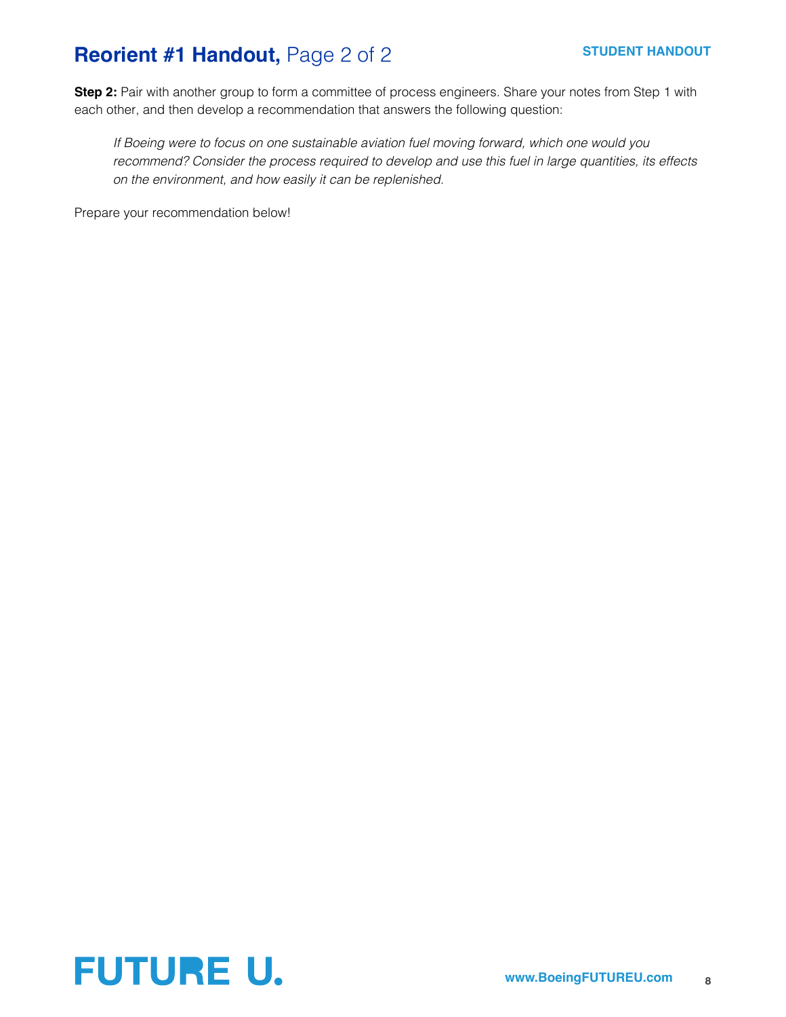# **Reorient #1 Handout, Page 2 of 2**

**Step 2:** Pair with another group to form a committee of process engineers. Share your notes from Step 1 with each other, and then develop a recommendation that answers the following question:

*If Boeing were to focus on one sustainable aviation fuel moving forward, which one would you recommend? Consider the process required to develop and use this fuel in large quantities, its effects on the environment, and how easily it can be replenished.*

Prepare your recommendation below!

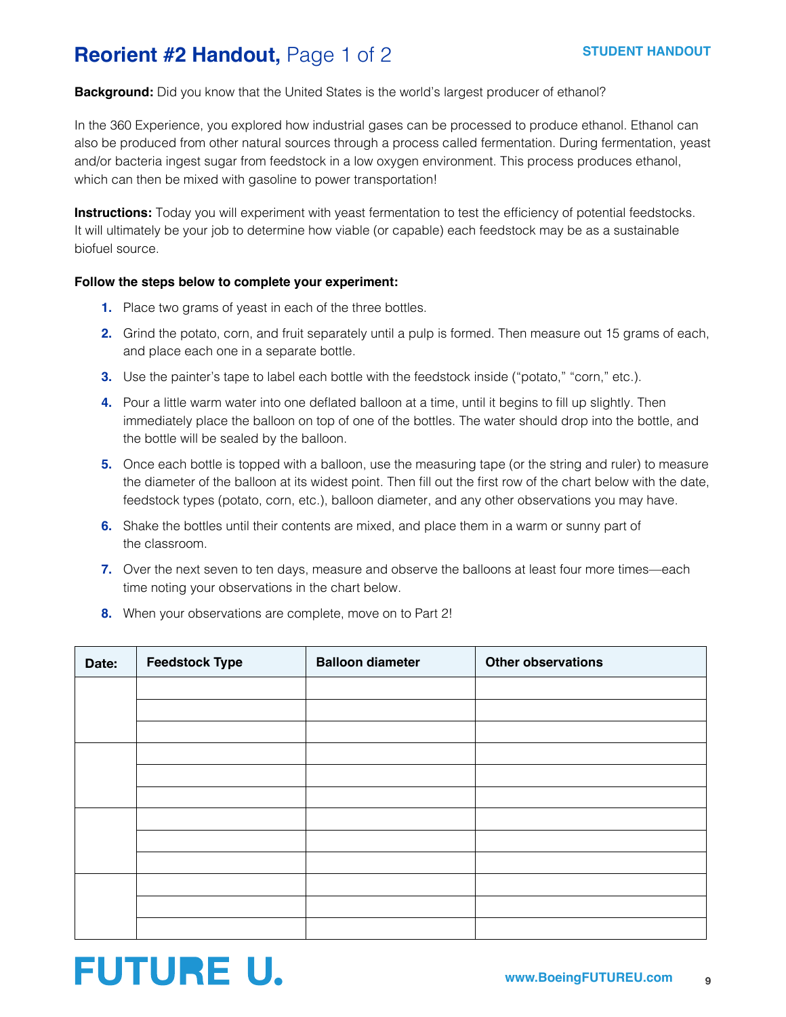# **Reorient #2 Handout, Page 1 of 2**

#### **Background:** Did you know that the United States is the world's largest producer of ethanol?

In the 360 Experience, you explored how industrial gases can be processed to produce ethanol. Ethanol can also be produced from other natural sources through a process called fermentation. During fermentation, yeast and/or bacteria ingest sugar from feedstock in a low oxygen environment. This process produces ethanol, which can then be mixed with gasoline to power transportation!

**Instructions:** Today you will experiment with yeast fermentation to test the efficiency of potential feedstocks. It will ultimately be your job to determine how viable (or capable) each feedstock may be as a sustainable biofuel source.

#### **Follow the steps below to complete your experiment:**

- **1.** Place two grams of yeast in each of the three bottles.
- **2.** Grind the potato, corn, and fruit separately until a pulp is formed. Then measure out 15 grams of each, and place each one in a separate bottle.
- **3.** Use the painter's tape to label each bottle with the feedstock inside ("potato," "corn," etc.).
- **4.** Pour a little warm water into one deflated balloon at a time, until it begins to fill up slightly. Then immediately place the balloon on top of one of the bottles. The water should drop into the bottle, and the bottle will be sealed by the balloon.
- **5.** Once each bottle is topped with a balloon, use the measuring tape (or the string and ruler) to measure the diameter of the balloon at its widest point. Then fill out the first row of the chart below with the date, feedstock types (potato, corn, etc.), balloon diameter, and any other observations you may have.
- **6.** Shake the bottles until their contents are mixed, and place them in a warm or sunny part of the classroom.
- **7.** Over the next seven to ten days, measure and observe the balloons at least four more times—each time noting your observations in the chart below.
- **8.** When your observations are complete, move on to Part 2!

| Date: | <b>Feedstock Type</b> | <b>Balloon diameter</b> | <b>Other observations</b> |
|-------|-----------------------|-------------------------|---------------------------|
|       |                       |                         |                           |
|       |                       |                         |                           |
|       |                       |                         |                           |
|       |                       |                         |                           |
|       |                       |                         |                           |
|       |                       |                         |                           |
|       |                       |                         |                           |
|       |                       |                         |                           |
|       |                       |                         |                           |
|       |                       |                         |                           |
|       |                       |                         |                           |
|       |                       |                         |                           |